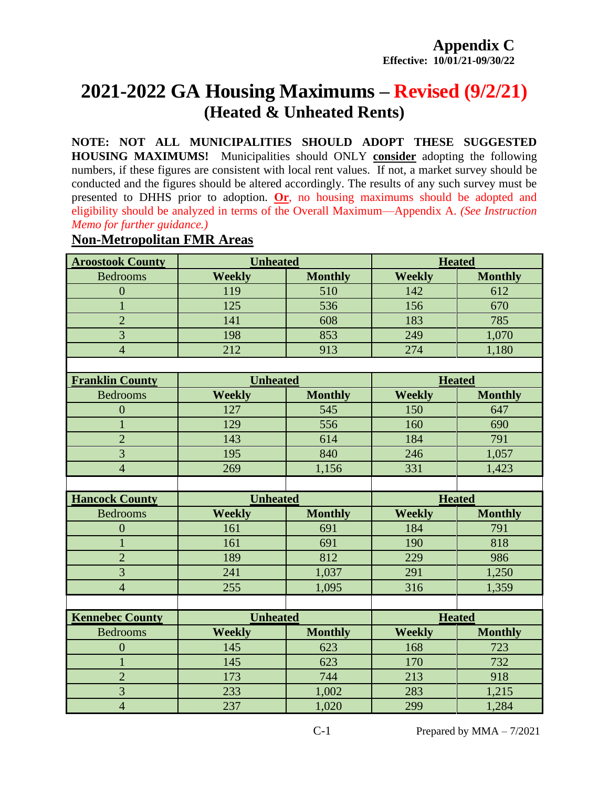# **2021-2022 GA Housing Maximums – Revised (9/2/21) (Heated & Unheated Rents)**

**NOTE: NOT ALL MUNICIPALITIES SHOULD ADOPT THESE SUGGESTED HOUSING MAXIMUMS!** Municipalities should ONLY **consider** adopting the following numbers, if these figures are consistent with local rent values. If not, a market survey should be conducted and the figures should be altered accordingly. The results of any such survey must be presented to DHHS prior to adoption. **Or**, no housing maximums should be adopted and eligibility should be analyzed in terms of the Overall Maximum—Appendix A. *(See Instruction Memo for further guidance.)*

# **Aroostook County Unheated Heated Heated**

**Non-Metropolitan FMR Areas**

|                        | UMNuuttu        |                | ncacca        |                |
|------------------------|-----------------|----------------|---------------|----------------|
| <b>Bedrooms</b>        | <b>Weekly</b>   | <b>Monthly</b> | <b>Weekly</b> | <b>Monthly</b> |
| $\overline{0}$         | 119             | 510            | 142           | 612            |
| $\mathbf{1}$           | 125             | 536            | 156           | 670            |
| $\overline{2}$         | 141             | 608            | 183           | 785            |
| $\overline{3}$         | 198             | 853            | 249           | 1,070          |
| $\overline{4}$         | 212             | 913            | 274           | 1,180          |
|                        |                 |                |               |                |
| <b>Franklin County</b> | <b>Unheated</b> |                | <b>Heated</b> |                |
| <b>Bedrooms</b>        | <b>Weekly</b>   | <b>Monthly</b> | <b>Weekly</b> | <b>Monthly</b> |
| $\boldsymbol{0}$       | 127             | 545            | 150           | 647            |
| $\mathbf{1}$           | 129             | 556            | 160           | 690            |
| $\overline{2}$         | 143             | 614            | 184           | 791            |
| $\overline{3}$         | 195             | 840            | 246           | 1,057          |
| $\overline{4}$         | 269             | 1,156          | 331           | 1,423          |
|                        |                 |                |               |                |
|                        |                 |                |               |                |
| <b>Hancock County</b>  | <b>Unheated</b> |                | <b>Heated</b> |                |
| <b>Bedrooms</b>        | <b>Weekly</b>   | <b>Monthly</b> | <b>Weekly</b> | <b>Monthly</b> |
| $\overline{0}$         | 161             | 691            | 184           | 791            |
| $\mathbf{1}$           | 161             | 691            | 190           | 818            |
| $\overline{2}$         | 189             | 812            | 229           | 986            |
| $\overline{3}$         | 241             | 1,037          | 291           | 1,250          |
| $\overline{4}$         | 255             | 1,095          | 316           | 1,359          |
|                        |                 |                |               |                |
| <b>Kennebec County</b> | <b>Unheated</b> |                | <b>Heated</b> |                |
| <b>Bedrooms</b>        | <b>Weekly</b>   | <b>Monthly</b> | <b>Weekly</b> | <b>Monthly</b> |
| $\overline{0}$         | 145             | 623            | 168           | 723            |
| $\mathbf{1}$           | 145             | 623            | 170           | 732            |
| $\overline{2}$         | 173             | 744            | 213           | 918            |
| 3                      | 233             | 1,002          | 283           | 1,215          |

C-1 Prepared by  $MMA - 7/2021$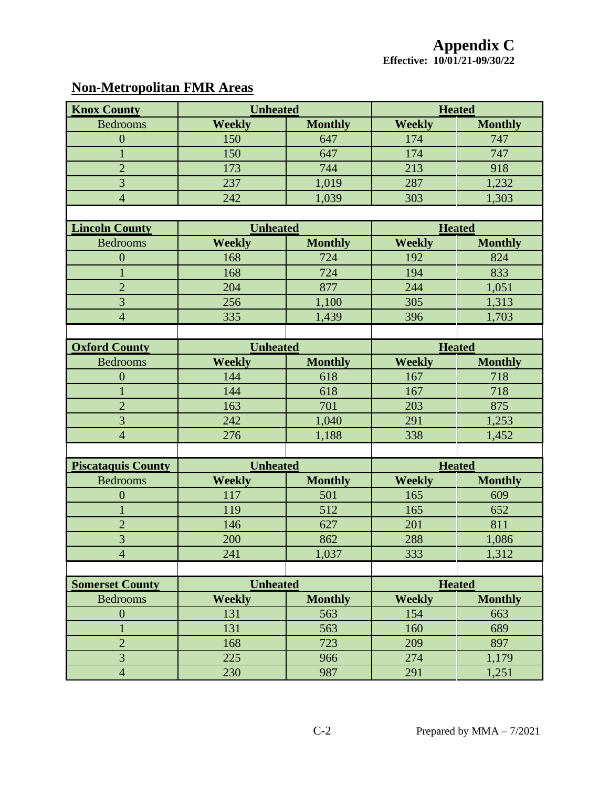## **Non-Metropolitan FMR Areas**

| <b>Knox County</b>        | <b>Unheated</b> |                |               | <b>Heated</b>  |  |
|---------------------------|-----------------|----------------|---------------|----------------|--|
| <b>Bedrooms</b>           | <b>Weekly</b>   | <b>Monthly</b> | <b>Weekly</b> | <b>Monthly</b> |  |
| $\overline{0}$            | 150             | 647            | 174           | 747            |  |
| $\mathbf{1}$              | 150             | 647            | 174           | 747            |  |
| $\overline{2}$            | 173             | 744            | 213           | 918            |  |
| $\overline{3}$            | 237             | 1,019          | 287           | 1,232          |  |
| $\overline{4}$            | 242             | 1,039          | 303           | 1,303          |  |
|                           |                 |                |               |                |  |
| <b>Lincoln County</b>     | <b>Unheated</b> |                | <b>Heated</b> |                |  |
| <b>Bedrooms</b>           | <b>Weekly</b>   | <b>Monthly</b> | <b>Weekly</b> | <b>Monthly</b> |  |
| $\overline{0}$            | 168             | 724            | 192           | 824            |  |
| $\mathbf{1}$              | 168             | 724            | 194           | 833            |  |
| $\overline{2}$            | 204             | 877            | 244           | 1,051          |  |
| $\overline{3}$            | 256             | 1,100          | 305           | 1,313          |  |
| $\overline{4}$            | 335             | 1,439          | 396           | 1,703          |  |
|                           |                 |                |               |                |  |
| <b>Oxford County</b>      | <b>Unheated</b> |                | <b>Heated</b> |                |  |
| <b>Bedrooms</b>           | <b>Weekly</b>   | <b>Monthly</b> | <b>Weekly</b> | <b>Monthly</b> |  |
| $\overline{0}$            | 144             | 618            | 167           | 718            |  |
| $\mathbf{1}$              | 144             | 618            | 167           | 718            |  |
| $\overline{2}$            | 163             | 701            | 203           | 875            |  |
| $\overline{3}$            | 242             | 1,040          | 291           | 1,253          |  |
| $\overline{4}$            | 276             | 1,188          | 338           | 1,452          |  |
|                           |                 |                |               |                |  |
| <b>Piscataquis County</b> | <b>Unheated</b> |                | <b>Heated</b> |                |  |
| <b>Bedrooms</b>           | <b>Weekly</b>   | <b>Monthly</b> | <b>Weekly</b> | <b>Monthly</b> |  |
| $\overline{0}$            | 117             | 501            | 165           | 609            |  |
| $\mathbf{1}$              | 119             | 512            | 165           | 652            |  |
| $\overline{2}$            | 146             | 627            | 201           | 811            |  |
| 3                         | 200             | 862            | 288           | 1,086          |  |
| $\overline{4}$            | 241             | 1,037          | 333           | 1,312          |  |
|                           |                 |                |               |                |  |
| <b>Somerset County</b>    | <b>Unheated</b> |                | <b>Heated</b> |                |  |
| <b>Bedrooms</b>           | <b>Weekly</b>   | <b>Monthly</b> | <b>Weekly</b> | <b>Monthly</b> |  |
| $\boldsymbol{0}$          | 131             | 563            | 154           | 663            |  |
| $\mathbf{1}$              | 131             | 563            | 160           | 689            |  |
| $\overline{2}$            | 168             | 723            | 209           | 897            |  |
| $\overline{3}$            | 225             | 966            | 274           | 1,179          |  |
| $\overline{4}$            | 230             | 987            | 291           | 1,251          |  |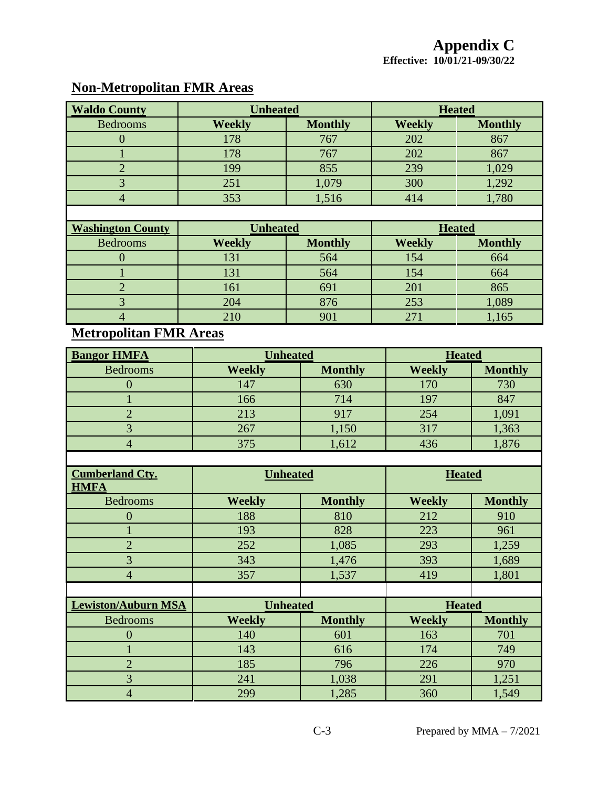#### **Non-Metropolitan FMR Areas**

| <b>Waldo County</b> | <b>Unheated</b> |                | <b>Heated</b> |                |
|---------------------|-----------------|----------------|---------------|----------------|
| <b>Bedrooms</b>     | <b>Weekly</b>   | <b>Monthly</b> | <b>Weekly</b> | <b>Monthly</b> |
|                     | 178             | 767            | 202           | 867            |
|                     | 178             | 767            | 202           | 867            |
|                     | 199             | 855            | 239           | 1,029          |
|                     | 251             | 1,079          | 300           | 1,292          |
|                     | 353             | 1,516          | 414           | 1,780          |

| <b>Washington County</b> | <b>Unheated</b> |                | <b>Heated</b> |                |
|--------------------------|-----------------|----------------|---------------|----------------|
| <b>Bedrooms</b>          | <b>Weekly</b>   | <b>Monthly</b> | <b>Weekly</b> | <b>Monthly</b> |
|                          | 131             | 564            | 154           | 664            |
|                          | 131             | 564            | 154           | 664            |
|                          | 161             | 691            | 201           | 865            |
|                          | 204             | 876            | 253           | 1,089          |
|                          |                 |                | 27.           | 1,165          |

### **Metropolitan FMR Areas**

| <b>Bangor HMFA</b> | <b>Unheated</b> |                | <b>Heated</b> |                |
|--------------------|-----------------|----------------|---------------|----------------|
| <b>Bedrooms</b>    | <b>Weekly</b>   | <b>Monthly</b> | <b>Weekly</b> | <b>Monthly</b> |
|                    | 147             | 630            | 170           | 730            |
|                    | 166             | 714            | 197           | 847            |
|                    | 213             | 917            | 254           | 1,091          |
|                    | 267             | 1,150          | 317           | 1,363          |
|                    | 375             | 1,612          | 436           | 1,876          |
|                    |                 |                |               |                |

| <b>Cumberland Cty.</b><br><b>HMFA</b> | <b>Unheated</b> |                | <b>Heated</b> |                |
|---------------------------------------|-----------------|----------------|---------------|----------------|
| <b>Bedrooms</b>                       | <b>Weekly</b>   | <b>Monthly</b> | <b>Weekly</b> | <b>Monthly</b> |
| $\Omega$                              | 188             | 810            | 212           | 910            |
|                                       | 193             | 828            | 223           | 961            |
| $\overline{2}$                        | 252             | 1,085          | 293           | 1,259          |
| 3                                     | 343             | 1,476          | 393           | 1,689          |
| $\overline{4}$                        | 357             | 1,537          | 419           | 1,801          |
|                                       |                 |                |               |                |
| <b>Lewiston/Auburn MSA</b>            | <b>Unheated</b> |                | <b>Heated</b> |                |
|                                       |                 |                |               |                |
| <b>Bedrooms</b>                       | <b>Weekly</b>   | <b>Monthly</b> | <b>Weekly</b> | <b>Monthly</b> |
| $\Omega$                              | 140             | 601            | 163           | 701            |
|                                       | 143             | 616            | 174           | 749            |
| $\overline{2}$                        | 185             | 796            | 226           | 970            |
| $\overline{3}$                        | 241             | 1,038          | 291           | 1,251          |